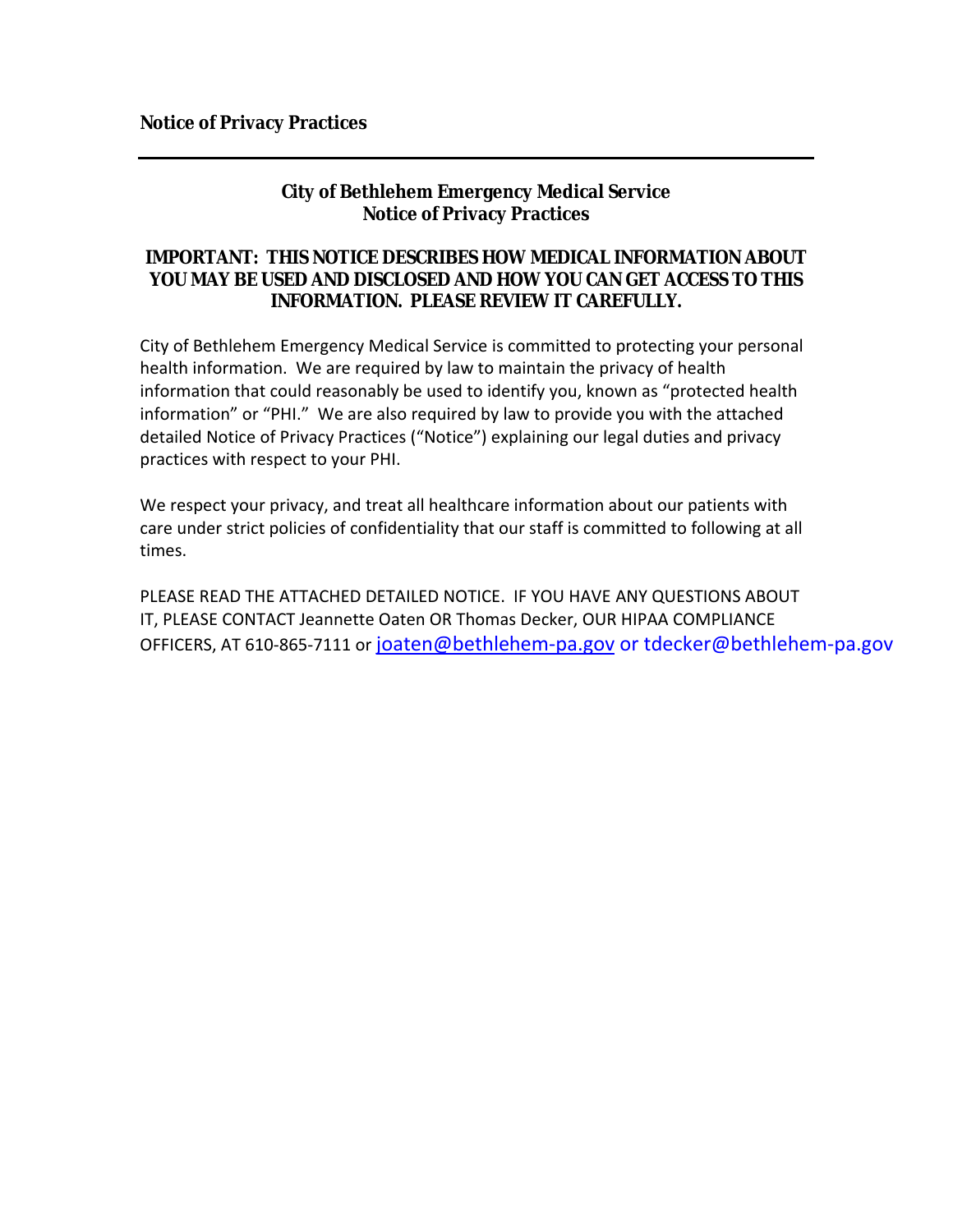# **City of Bethlehem Emergency Medical Service Notice of Privacy Practices**

### **IMPORTANT: THIS NOTICE DESCRIBES HOW MEDICAL INFORMATION ABOUT YOU MAY BE USED AND DISCLOSED AND HOW YOU CAN GET ACCESS TO THIS INFORMATION. PLEASE REVIEW IT CAREFULLY.**

City of Bethlehem Emergency Medical Service is committed to protecting your personal health information. We are required by law to maintain the privacy of health information that could reasonably be used to identify you, known as "protected health information" or "PHI." We are also required by law to provide you with the attached detailed Notice of Privacy Practices ("Notice") explaining our legal duties and privacy practices with respect to your PHI.

We respect your privacy, and treat all healthcare information about our patients with care under strict policies of confidentiality that our staff is committed to following at all times.

PLEASE READ THE ATTACHED DETAILED NOTICE. IF YOU HAVE ANY QUESTIONS ABOUT IT, PLEASE CONTACT Jeannette Oaten OR Thomas Decker, OUR HIPAA COMPLIANCE OFFICERS, AT 610-865-7111 or joaten@bethlehem-pa.gov or tdecker@bethlehem-pa.gov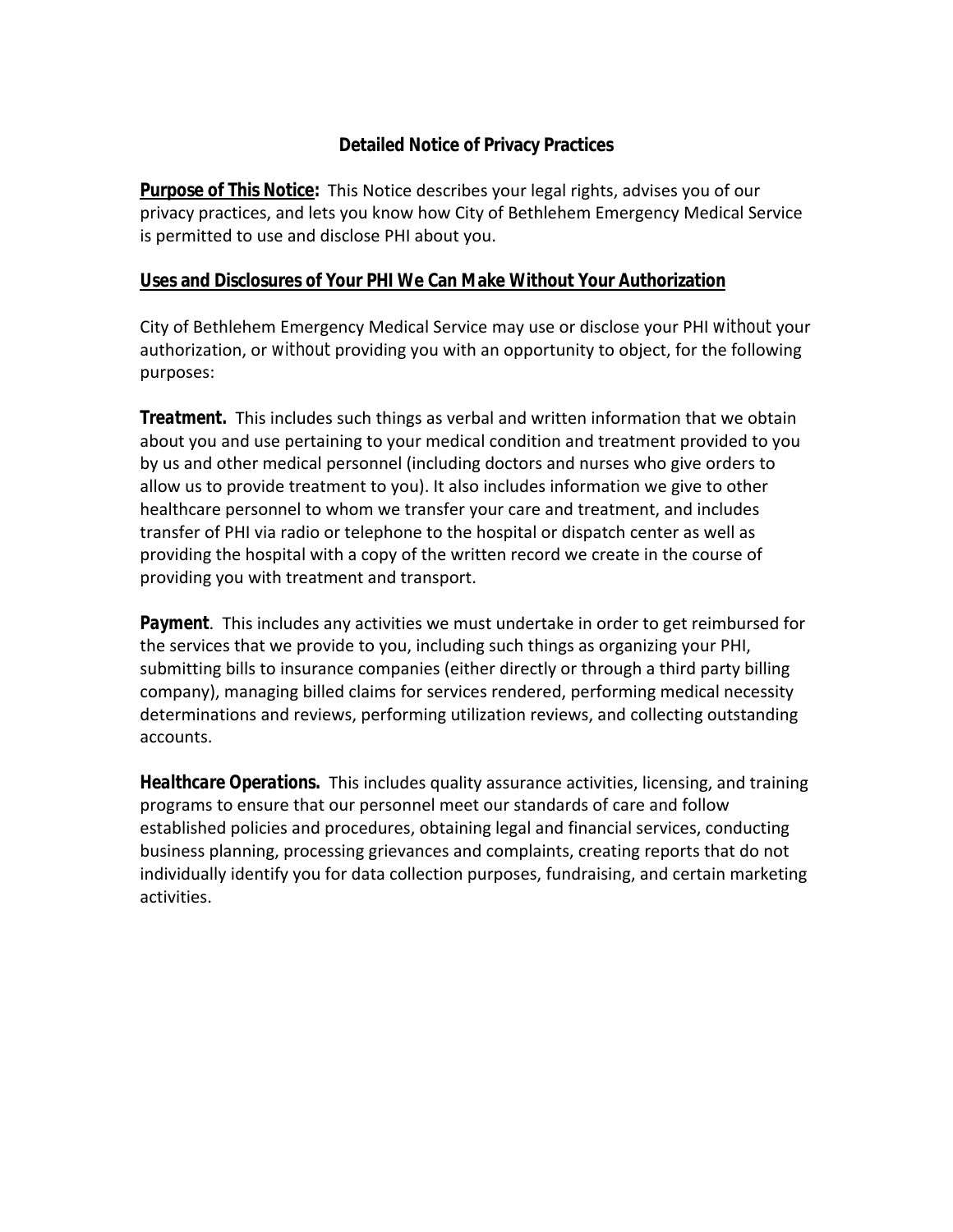# **Detailed Notice of Privacy Practices**

**Purpose of This Notice:**This Notice describes your legal rights, advises you of our privacy practices, and lets you know how City of Bethlehem Emergency Medical Service is permitted to use and disclose PHI about you.

### **Uses and Disclosures of Your PHI We Can Make Without Your Authorization**

City of Bethlehem Emergency Medical Service may use or disclose your PHI *without* your authorization, or *without* providing you with an opportunity to object, for the following purposes:

*Treatment.* This includes such things as verbal and written information that we obtain about you and use pertaining to your medical condition and treatment provided to you by us and other medical personnel (including doctors and nurses who give orders to allow us to provide treatment to you). It also includes information we give to other healthcare personnel to whom we transfer your care and treatment, and includes transfer of PHI via radio or telephone to the hospital or dispatch center as well as providing the hospital with a copy of the written record we create in the course of providing you with treatment and transport.

*Payment*. This includes any activities we must undertake in order to get reimbursed for the services that we provide to you, including such things as organizing your PHI, submitting bills to insurance companies (either directly or through a third party billing company), managing billed claims for services rendered, performing medical necessity determinations and reviews, performing utilization reviews, and collecting outstanding accounts.

*Healthcare Operations.* This includes quality assurance activities, licensing, and training programs to ensure that our personnel meet our standards of care and follow established policies and procedures, obtaining legal and financial services, conducting business planning, processing grievances and complaints, creating reports that do not individually identify you for data collection purposes, fundraising, and certain marketing activities.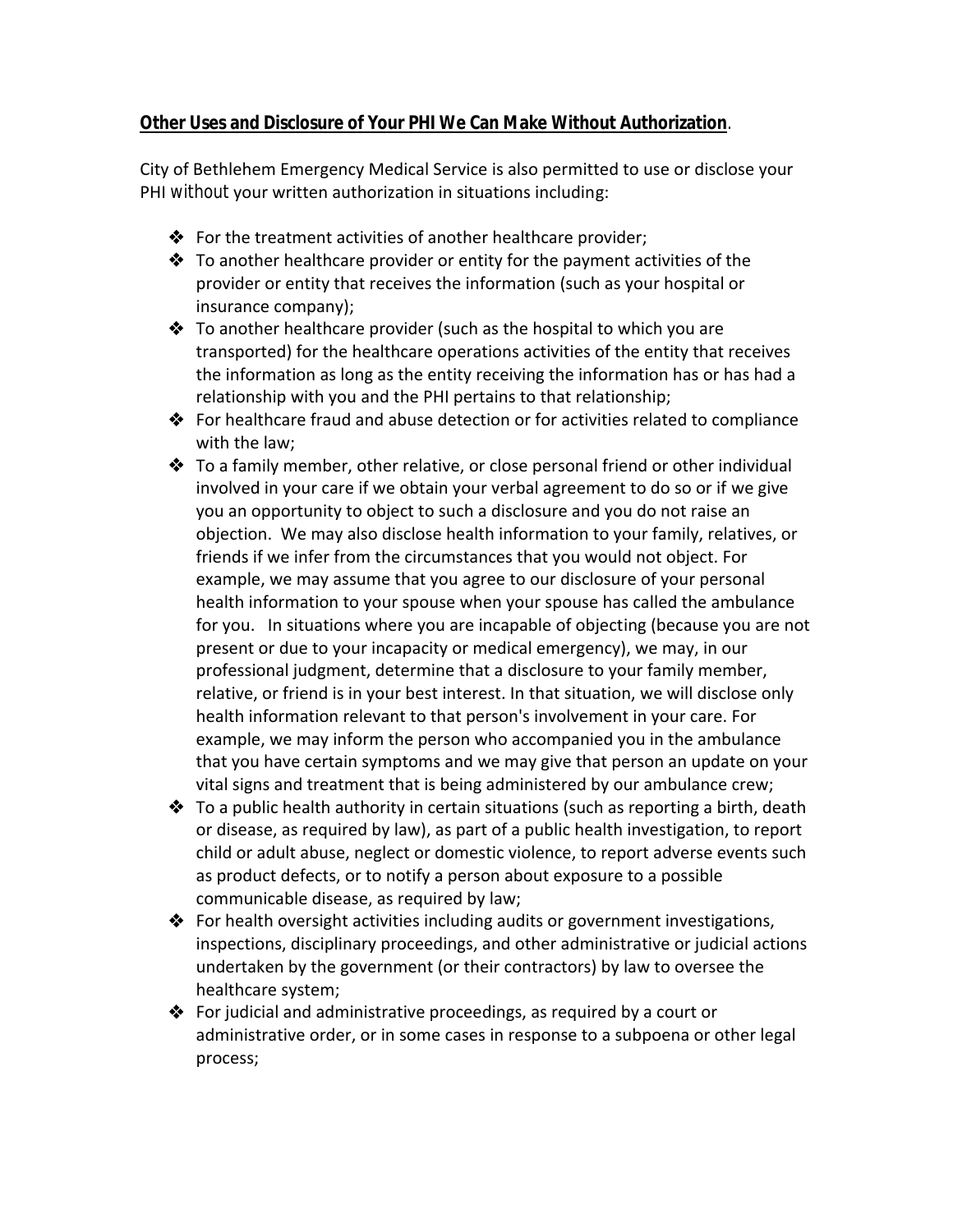# **Other Uses and Disclosure of Your PHI We Can Make Without Authorization***.*

City of Bethlehem Emergency Medical Service is also permitted to use or disclose your PHI *without* your written authorization in situations including:

- $\clubsuit$  For the treatment activities of another healthcare provider;
- $\triangle$  To another healthcare provider or entity for the payment activities of the provider or entity that receives the information (such as your hospital or insurance company);
- $\triangle$  To another healthcare provider (such as the hospital to which you are transported) for the healthcare operations activities of the entity that receives the information as long as the entity receiving the information has or has had a relationship with you and the PHI pertains to that relationship;
- For healthcare fraud and abuse detection or for activities related to compliance with the law;
- ◆ To a family member, other relative, or close personal friend or other individual involved in your care if we obtain your verbal agreement to do so or if we give you an opportunity to object to such a disclosure and you do not raise an objection. We may also disclose health information to your family, relatives, or friends if we infer from the circumstances that you would not object. For example, we may assume that you agree to our disclosure of your personal health information to your spouse when your spouse has called the ambulance for you. In situations where you are incapable of objecting (because you are not present or due to your incapacity or medical emergency), we may, in our professional judgment, determine that a disclosure to your family member, relative, or friend is in your best interest. In that situation, we will disclose only health information relevant to that person's involvement in your care. For example, we may inform the person who accompanied you in the ambulance that you have certain symptoms and we may give that person an update on your vital signs and treatment that is being administered by our ambulance crew;
- $\triangle$  To a public health authority in certain situations (such as reporting a birth, death or disease, as required by law), as part of a public health investigation, to report child or adult abuse, neglect or domestic violence, to report adverse events such as product defects, or to notify a person about exposure to a possible communicable disease, as required by law;
- ◆ For health oversight activities including audits or government investigations, inspections, disciplinary proceedings, and other administrative or judicial actions undertaken by the government (or their contractors) by law to oversee the healthcare system;
- $\triangle$  For judicial and administrative proceedings, as required by a court or administrative order, or in some cases in response to a subpoena or other legal process;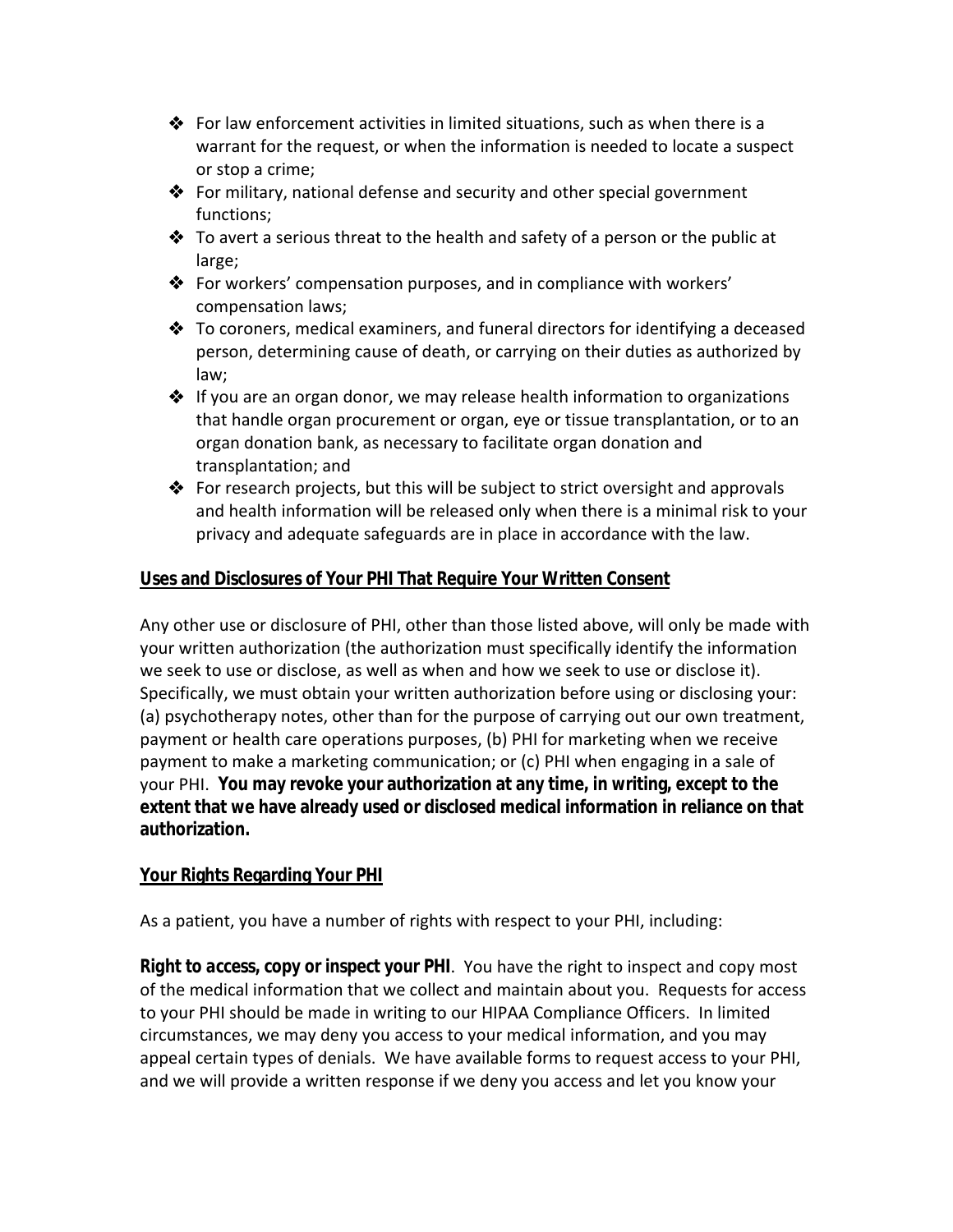- For law enforcement activities in limited situations, such as when there is a warrant for the request, or when the information is needed to locate a suspect or stop a crime;
- For military, national defense and security and other special government functions;
- $\clubsuit$  To avert a serious threat to the health and safety of a person or the public at large;
- For workers' compensation purposes, and in compliance with workers' compensation laws;
- $\clubsuit$  To coroners, medical examiners, and funeral directors for identifying a deceased person, determining cause of death, or carrying on their duties as authorized by law;
- $\triangle$  If you are an organ donor, we may release health information to organizations that handle organ procurement or organ, eye or tissue transplantation, or to an organ donation bank, as necessary to facilitate organ donation and transplantation; and
- For research projects, but this will be subject to strict oversight and approvals and health information will be released only when there is a minimal risk to your privacy and adequate safeguards are in place in accordance with the law.

# **Uses and Disclosures of Your PHI That Require Your Written Consent**

Any other use or disclosure of PHI, other than those listed above, will only be made with your written authorization (the authorization must specifically identify the information we seek to use or disclose, as well as when and how we seek to use or disclose it). Specifically, we must obtain your written authorization before using or disclosing your: (a) psychotherapy notes, other than for the purpose of carrying out our own treatment, payment or health care operations purposes, (b) PHI for marketing when we receive payment to make a marketing communication; or (c) PHI when engaging in a sale of your PHI. **You may revoke your authorization at any time, in writing, except to the extent that we have already used or disclosed medical information in reliance on that authorization.**

### **Your Rights Regarding Your PHI**

As a patient, you have a number of rights with respect to your PHI, including:

*Right to access, copy or inspect your PHI*. You have the right to inspect and copy most of the medical information that we collect and maintain about you. Requests for access to your PHI should be made in writing to our HIPAA Compliance Officers. In limited circumstances, we may deny you access to your medical information, and you may appeal certain types of denials. We have available forms to request access to your PHI, and we will provide a written response if we deny you access and let you know your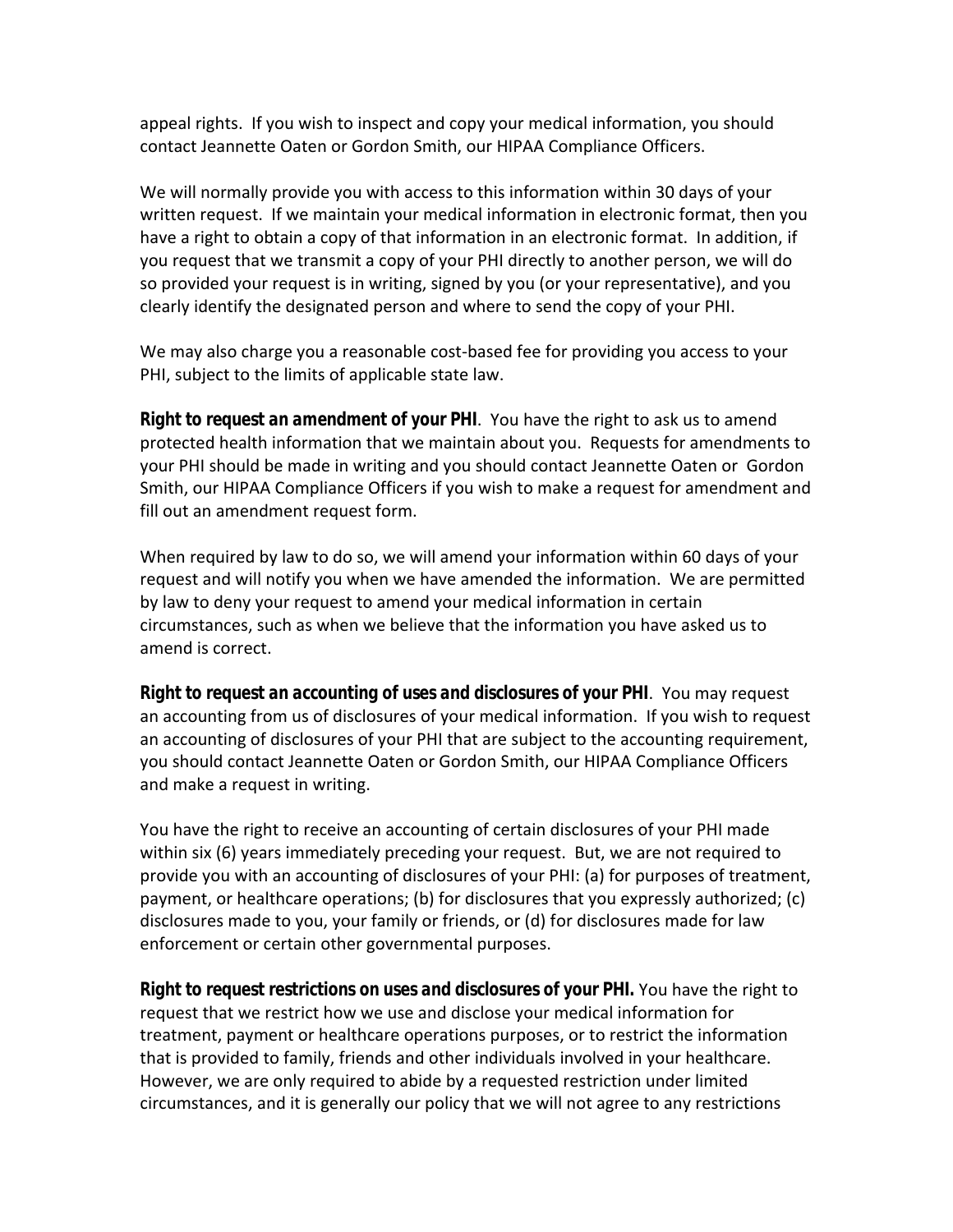appeal rights. If you wish to inspect and copy your medical information, you should contact Jeannette Oaten or Gordon Smith, our HIPAA Compliance Officers.

We will normally provide you with access to this information within 30 days of your written request. If we maintain your medical information in electronic format, then you have a right to obtain a copy of that information in an electronic format. In addition, if you request that we transmit a copy of your PHI directly to another person, we will do so provided your request is in writing, signed by you (or your representative), and you clearly identify the designated person and where to send the copy of your PHI.

We may also charge you a reasonable cost-based fee for providing you access to your PHI, subject to the limits of applicable state law.

*Right to request an amendment of your PHI*. You have the right to ask us to amend protected health information that we maintain about you. Requests for amendments to your PHI should be made in writing and you should contact Jeannette Oaten or Gordon Smith, our HIPAA Compliance Officers if you wish to make a request for amendment and fill out an amendment request form.

When required by law to do so, we will amend your information within 60 days of your request and will notify you when we have amended the information. We are permitted by law to deny your request to amend your medical information in certain circumstances, such as when we believe that the information you have asked us to amend is correct.

*Right to request an accounting of uses and disclosures of your PHI*. You may request an accounting from us of disclosures of your medical information. If you wish to request an accounting of disclosures of your PHI that are subject to the accounting requirement, you should contact Jeannette Oaten or Gordon Smith, our HIPAA Compliance Officers and make a request in writing.

You have the right to receive an accounting of certain disclosures of your PHI made within six (6) years immediately preceding your request. But, we are not required to provide you with an accounting of disclosures of your PHI: (a) for purposes of treatment, payment, or healthcare operations; (b) for disclosures that you expressly authorized; (c) disclosures made to you, your family or friends, or (d) for disclosures made for law enforcement or certain other governmental purposes.

*Right to request restrictions on uses and disclosures of your PHI.* You have the right to request that we restrict how we use and disclose your medical information for treatment, payment or healthcare operations purposes, or to restrict the information that is provided to family, friends and other individuals involved in your healthcare. However, we are only required to abide by a requested restriction under limited circumstances, and it is generally our policy that we will not agree to any restrictions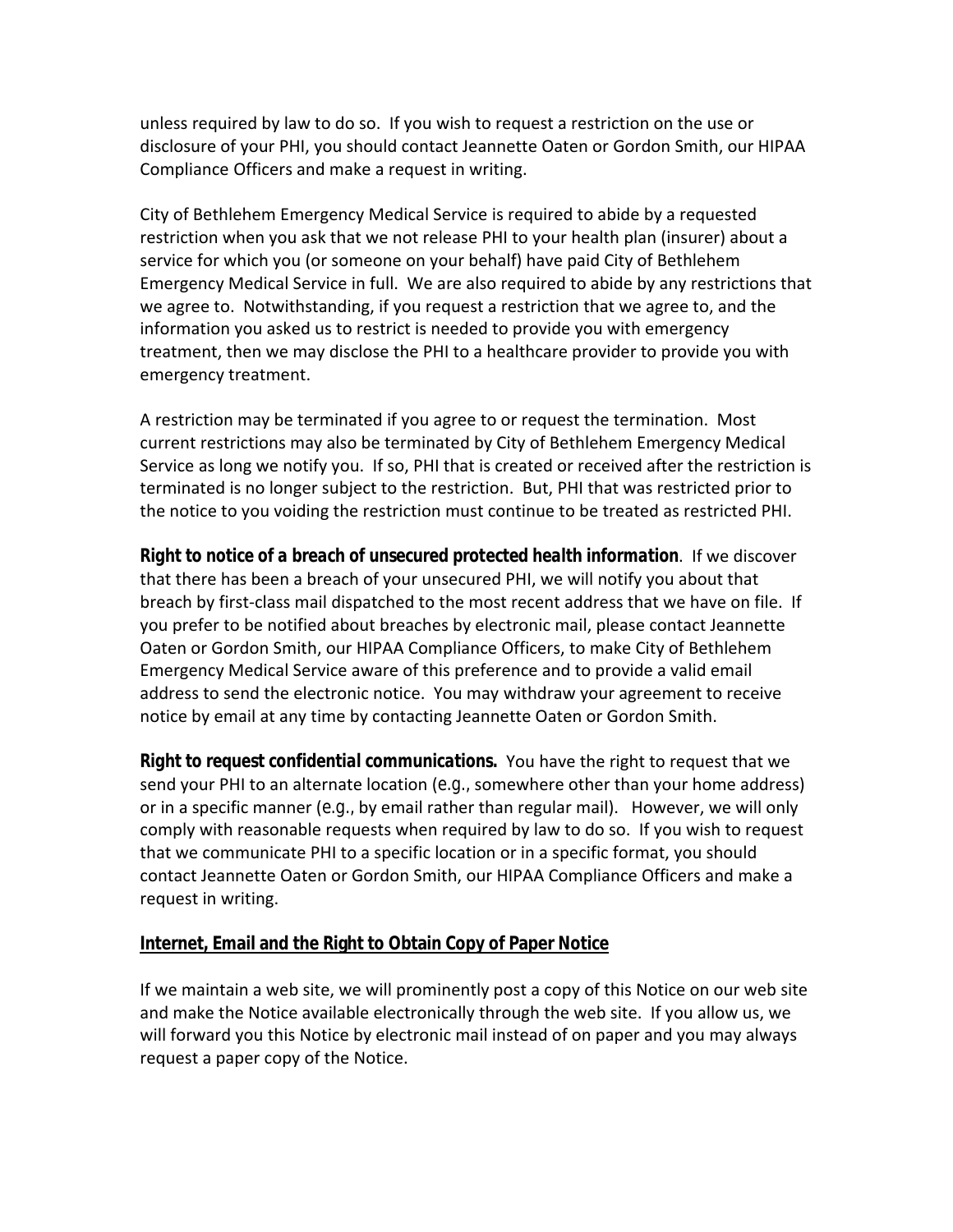unless required by law to do so. If you wish to request a restriction on the use or disclosure of your PHI, you should contact Jeannette Oaten or Gordon Smith, our HIPAA Compliance Officers and make a request in writing.

City of Bethlehem Emergency Medical Service is required to abide by a requested restriction when you ask that we not release PHI to your health plan (insurer) about a service for which you (or someone on your behalf) have paid City of Bethlehem Emergency Medical Service in full. We are also required to abide by any restrictions that we agree to. Notwithstanding, if you request a restriction that we agree to, and the information you asked us to restrict is needed to provide you with emergency treatment, then we may disclose the PHI to a healthcare provider to provide you with emergency treatment.

A restriction may be terminated if you agree to or request the termination. Most current restrictions may also be terminated by City of Bethlehem Emergency Medical Service as long we notify you. If so, PHI that is created or received after the restriction is terminated is no longer subject to the restriction. But, PHI that was restricted prior to the notice to you voiding the restriction must continue to be treated as restricted PHI.

*Right to notice of a breach of unsecured protected health information*. If we discover that there has been a breach of your unsecured PHI, we will notify you about that breach by first-class mail dispatched to the most recent address that we have on file. If you prefer to be notified about breaches by electronic mail, please contact Jeannette Oaten or Gordon Smith, our HIPAA Compliance Officers, to make City of Bethlehem Emergency Medical Service aware of this preference and to provide a valid email address to send the electronic notice. You may withdraw your agreement to receive notice by email at any time by contacting Jeannette Oaten or Gordon Smith.

*Right to request confidential communications.* You have the right to request that we send your PHI to an alternate location (*e.g.,* somewhere other than your home address) or in a specific manner (*e.g.,* by email rather than regular mail). However, we will only comply with reasonable requests when required by law to do so. If you wish to request that we communicate PHI to a specific location or in a specific format, you should contact Jeannette Oaten or Gordon Smith, our HIPAA Compliance Officers and make a request in writing.

### **Internet, Email and the Right to Obtain Copy of Paper Notice**

If we maintain a web site, we will prominently post a copy of this Notice on our web site and make the Notice available electronically through the web site. If you allow us, we will forward you this Notice by electronic mail instead of on paper and you may always request a paper copy of the Notice.